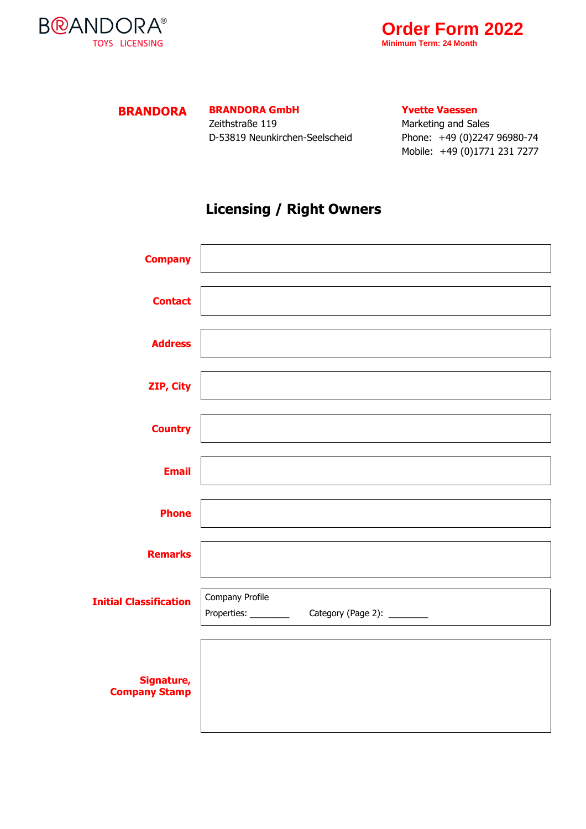



**BRANDORA BRANDORA GmbH**

Zeithstraße 119 D-53819 Neunkirchen-Seelscheid **Yvette Vaessen**

Marketing and Sales Phone: +49 (0)2247 96980-74 Mobile: +49 (0)1771 231 7277

## **Licensing / Right Owners**

| <b>Company</b>                     |                 |
|------------------------------------|-----------------|
| <b>Contact</b>                     |                 |
| <b>Address</b>                     |                 |
| ZIP, City                          |                 |
| <b>Country</b>                     |                 |
| <b>Email</b>                       |                 |
| <b>Phone</b>                       |                 |
| <b>Remarks</b>                     |                 |
| <b>Initial Classification</b>      | Company Profile |
| Signature,<br><b>Company Stamp</b> |                 |